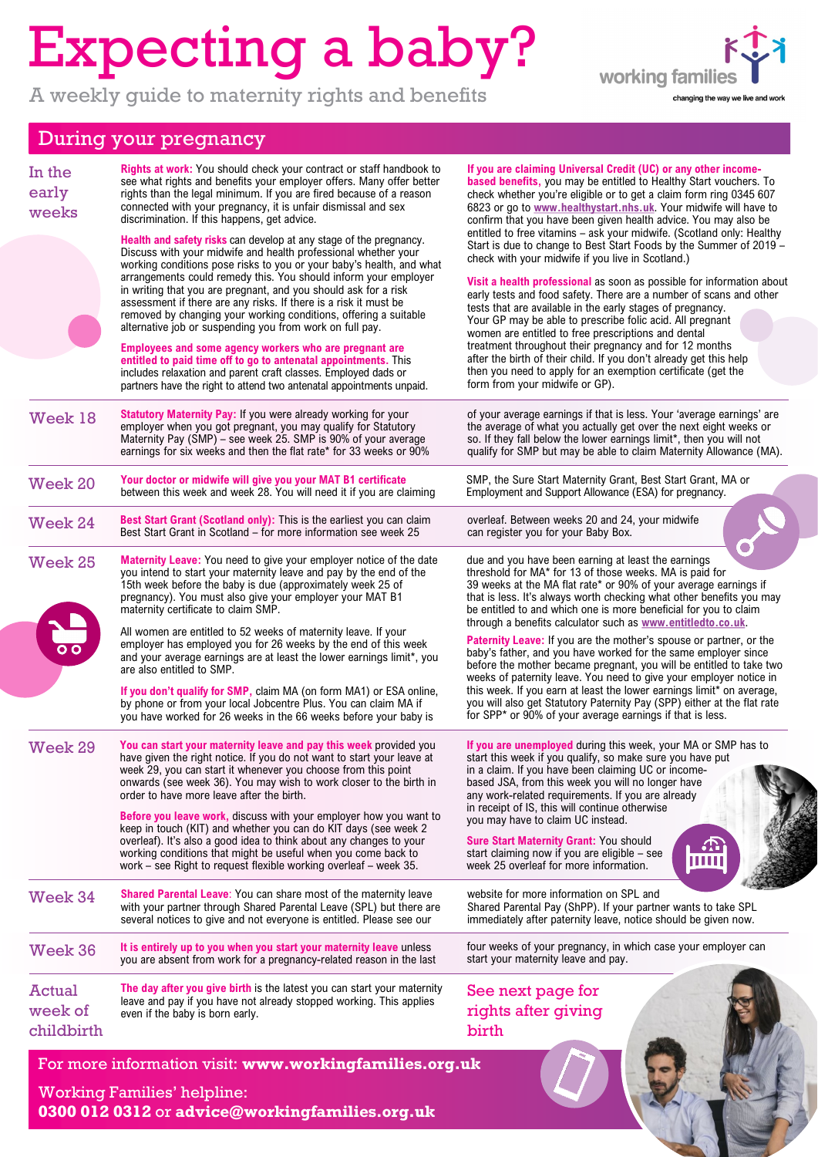## Expecting a baby?

A weekly guide to maternity rights and benefits



## During your pregnancy

| In the<br>early<br>weeks                                                                                                                       | <b>Rights at work:</b> You should check your contract or staff handbook to<br>see what rights and benefits your employer offers. Many offer better<br>rights than the legal minimum. If you are fired because of a reason<br>connected with your pregnancy, it is unfair dismissal and sex<br>discrimination. If this happens, get advice.                                                                                                                                                                                                                                                                                                                                                                                                                                                                                    | If you are claiming Universal Credit (UC) or any other income-<br><b>based benefits, you may be entitled to Healthy Start vouchers. To</b><br>check whether you're eligible or to get a claim form ring 0345 607<br>6823 or go to www.healthystart.nhs.uk. Your midwife will have to<br>confirm that you have been given health advice. You may also be                                                                                                                                                                                                                                                                                                                                                                                                             |
|------------------------------------------------------------------------------------------------------------------------------------------------|-------------------------------------------------------------------------------------------------------------------------------------------------------------------------------------------------------------------------------------------------------------------------------------------------------------------------------------------------------------------------------------------------------------------------------------------------------------------------------------------------------------------------------------------------------------------------------------------------------------------------------------------------------------------------------------------------------------------------------------------------------------------------------------------------------------------------------|---------------------------------------------------------------------------------------------------------------------------------------------------------------------------------------------------------------------------------------------------------------------------------------------------------------------------------------------------------------------------------------------------------------------------------------------------------------------------------------------------------------------------------------------------------------------------------------------------------------------------------------------------------------------------------------------------------------------------------------------------------------------|
|                                                                                                                                                | Health and safety risks can develop at any stage of the pregnancy.<br>Discuss with your midwife and health professional whether your<br>working conditions pose risks to you or your baby's health, and what<br>arrangements could remedy this. You should inform your employer<br>in writing that you are pregnant, and you should ask for a risk<br>assessment if there are any risks. If there is a risk it must be<br>removed by changing your working conditions, offering a suitable<br>alternative job or suspending you from work on full pay.<br>Employees and some agency workers who are pregnant are<br>entitled to paid time off to go to antenatal appointments. This<br>includes relaxation and parent craft classes. Employed dads or<br>partners have the right to attend two antenatal appointments unpaid. | entitled to free vitamins - ask your midwife. (Scotland only: Healthy<br>Start is due to change to Best Start Foods by the Summer of 2019 -<br>check with your midwife if you live in Scotland.)<br>Visit a health professional as soon as possible for information about<br>early tests and food safety. There are a number of scans and other<br>tests that are available in the early stages of pregnancy.<br>Your GP may be able to prescribe folic acid. All pregnant<br>women are entitled to free prescriptions and dental<br>treatment throughout their pregnancy and for 12 months<br>after the birth of their child. If you don't already get this help<br>then you need to apply for an exemption certificate (get the<br>form from your midwife or GP). |
| Week 18                                                                                                                                        | Statutory Maternity Pay: If you were already working for your<br>employer when you got pregnant, you may qualify for Statutory<br>Maternity Pay (SMP) – see week 25. SMP is 90% of your average<br>earnings for six weeks and then the flat rate* for 33 weeks or 90%                                                                                                                                                                                                                                                                                                                                                                                                                                                                                                                                                         | of your average earnings if that is less. Your 'average earnings' are<br>the average of what you actually get over the next eight weeks or<br>so. If they fall below the lower earnings limit*, then you will not<br>qualify for SMP but may be able to claim Maternity Allowance (MA).                                                                                                                                                                                                                                                                                                                                                                                                                                                                             |
| Week 20                                                                                                                                        | Your doctor or midwife will give you your MAT B1 certificate<br>between this week and week 28. You will need it if you are claiming                                                                                                                                                                                                                                                                                                                                                                                                                                                                                                                                                                                                                                                                                           | SMP, the Sure Start Maternity Grant, Best Start Grant, MA or<br>Employment and Support Allowance (ESA) for pregnancy.                                                                                                                                                                                                                                                                                                                                                                                                                                                                                                                                                                                                                                               |
| Week 24                                                                                                                                        | Best Start Grant (Scotland only): This is the earliest you can claim<br>Best Start Grant in Scotland - for more information see week 25                                                                                                                                                                                                                                                                                                                                                                                                                                                                                                                                                                                                                                                                                       | overleaf. Between weeks 20 and 24, your midwife<br>can register you for your Baby Box.                                                                                                                                                                                                                                                                                                                                                                                                                                                                                                                                                                                                                                                                              |
| Week 25                                                                                                                                        | Maternity Leave: You need to give your employer notice of the date<br>you intend to start your maternity leave and pay by the end of the<br>15th week before the baby is due (approximately week 25 of<br>pregnancy). You must also give your employer your MAT B1<br>maternity certificate to claim SMP.                                                                                                                                                                                                                                                                                                                                                                                                                                                                                                                     | due and you have been earning at least the earnings<br>threshold for MA* for 13 of those weeks. MA is paid for<br>39 weeks at the MA flat rate* or 90% of your average earnings if<br>that is less. It's always worth checking what other benefits you may<br>be entitled to and which one is more beneficial for you to claim                                                                                                                                                                                                                                                                                                                                                                                                                                      |
|                                                                                                                                                | All women are entitled to 52 weeks of maternity leave. If your<br>employer has employed you for 26 weeks by the end of this week<br>and your average earnings are at least the lower earnings limit*, you<br>are also entitled to SMP.<br>If you don't qualify for SMP, claim MA (on form MA1) or ESA online,<br>by phone or from your local Jobcentre Plus. You can claim MA if<br>you have worked for 26 weeks in the 66 weeks before your baby is                                                                                                                                                                                                                                                                                                                                                                          | through a benefits calculator such as www.entitledto.co.uk.<br>Paternity Leave: If you are the mother's spouse or partner, or the<br>baby's father, and you have worked for the same employer since<br>before the mother became pregnant, you will be entitled to take two<br>weeks of paternity leave. You need to give your employer notice in<br>this week. If you earn at least the lower earnings limit* on average,<br>you will also get Statutory Paternity Pay (SPP) either at the flat rate<br>for SPP* or 90% of your average earnings if that is less.                                                                                                                                                                                                   |
| Week 29                                                                                                                                        | You can start your maternity leave and pay this week provided you<br>have given the right notice. If you do not want to start your leave at<br>week 29, you can start it whenever you choose from this point<br>onwards (see week 36). You may wish to work closer to the birth in<br>order to have more leave after the birth.<br><b>Before you leave work, discuss with your employer how you want to</b><br>keep in touch (KIT) and whether you can do KIT days (see week 2<br>overleaf). It's also a good idea to think about any changes to your<br>working conditions that might be useful when you come back to<br>work – see Right to request flexible working overleaf – week 35.                                                                                                                                    | If you are unemployed during this week, your MA or SMP has to<br>start this week if you qualify, so make sure you have put<br>in a claim. If you have been claiming UC or income-<br>based JSA, from this week you will no longer have<br>any work-related requirements. If you are already<br>in receipt of IS, this will continue otherwise<br>you may have to claim UC instead.<br><b>Sure Start Maternity Grant: You should</b><br>start claiming now if you are eligible - see<br>ШШ<br>week 25 overleaf for more information.                                                                                                                                                                                                                                 |
| Week 34                                                                                                                                        | <b>Shared Parental Leave:</b> You can share most of the maternity leave<br>with your partner through Shared Parental Leave (SPL) but there are<br>several notices to give and not everyone is entitled. Please see our                                                                                                                                                                                                                                                                                                                                                                                                                                                                                                                                                                                                        | website for more information on SPL and<br>Shared Parental Pay (ShPP). If your partner wants to take SPL<br>immediately after paternity leave, notice should be given now.                                                                                                                                                                                                                                                                                                                                                                                                                                                                                                                                                                                          |
| Week 36                                                                                                                                        | It is entirely up to you when you start your maternity leave unless<br>you are absent from work for a pregnancy-related reason in the last                                                                                                                                                                                                                                                                                                                                                                                                                                                                                                                                                                                                                                                                                    | four weeks of your pregnancy, in which case your employer can<br>start your maternity leave and pay.                                                                                                                                                                                                                                                                                                                                                                                                                                                                                                                                                                                                                                                                |
| Actual<br>week of<br>childbirth                                                                                                                | The day after you give birth is the latest you can start your maternity<br>leave and pay if you have not already stopped working. This applies<br>even if the baby is born early.                                                                                                                                                                                                                                                                                                                                                                                                                                                                                                                                                                                                                                             | See next page for<br>rights after giving<br>birth                                                                                                                                                                                                                                                                                                                                                                                                                                                                                                                                                                                                                                                                                                                   |
| For more information visit: www.workingfamilies.org.uk<br><b>Working Families' helpline:</b><br>0300 012 0312 or advice@workingfamilies.org.uk |                                                                                                                                                                                                                                                                                                                                                                                                                                                                                                                                                                                                                                                                                                                                                                                                                               |                                                                                                                                                                                                                                                                                                                                                                                                                                                                                                                                                                                                                                                                                                                                                                     |